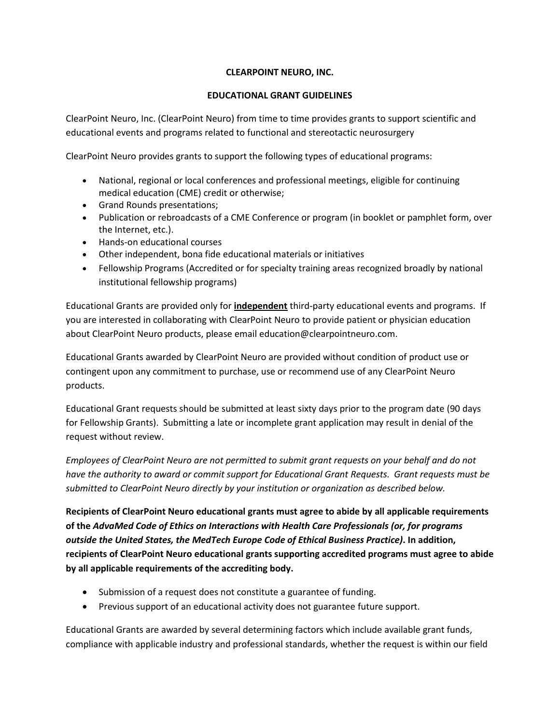# **CLEARPOINT NEURO, INC.**

## **EDUCATIONAL GRANT GUIDELINES**

ClearPoint Neuro, Inc. (ClearPoint Neuro) from time to time provides grants to support scientific and educational events and programs related to functional and stereotactic neurosurgery

ClearPoint Neuro provides grants to support the following types of educational programs:

- National, regional or local conferences and professional meetings, eligible for continuing medical education (CME) credit or otherwise;
- Grand Rounds presentations;
- Publication or rebroadcasts of a CME Conference or program (in booklet or pamphlet form, over the Internet, etc.).
- Hands-on educational courses
- Other independent, bona fide educational materials or initiatives
- Fellowship Programs (Accredited or for specialty training areas recognized broadly by national institutional fellowship programs)

Educational Grants are provided only for **independent** third-party educational events and programs. If you are interested in collaborating with ClearPoint Neuro to provide patient or physician education about ClearPoint Neuro products, please email education@clearpointneuro.com.

Educational Grants awarded by ClearPoint Neuro are provided without condition of product use or contingent upon any commitment to purchase, use or recommend use of any ClearPoint Neuro products.

Educational Grant requests should be submitted at least sixty days prior to the program date (90 days for Fellowship Grants). Submitting a late or incomplete grant application may result in denial of the request without review.

*Employees of ClearPoint Neuro are not permitted to submit grant requests on your behalf and do not have the authority to award or commit support for Educational Grant Requests. Grant requests must be submitted to ClearPoint Neuro directly by your institution or organization as described below.* 

**Recipients of ClearPoint Neuro educational grants must agree to abide by all applicable requirements of the** *AdvaMed Code of Ethics on Interactions with Health Care Professionals (or, for programs outside the United States, the MedTech Europe Code of Ethical Business Practice)***. In addition, recipients of ClearPoint Neuro educational grants supporting accredited programs must agree to abide by all applicable requirements of the accrediting body.**

- Submission of a request does not constitute a guarantee of funding.
- Previous support of an educational activity does not guarantee future support.

Educational Grants are awarded by several determining factors which include available grant funds, compliance with applicable industry and professional standards, whether the request is within our field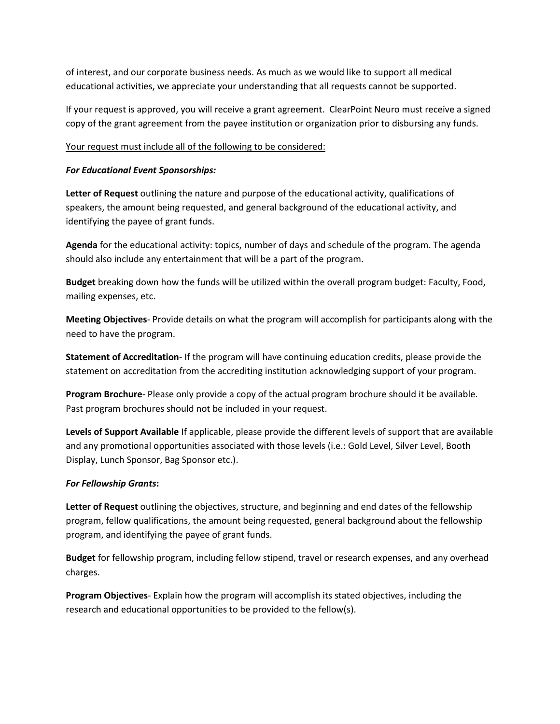of interest, and our corporate business needs. As much as we would like to support all medical educational activities, we appreciate your understanding that all requests cannot be supported.

If your request is approved, you will receive a grant agreement. ClearPoint Neuro must receive a signed copy of the grant agreement from the payee institution or organization prior to disbursing any funds.

### Your request must include all of the following to be considered:

### *For Educational Event Sponsorships:*

**Letter of Request** outlining the nature and purpose of the educational activity, qualifications of speakers, the amount being requested, and general background of the educational activity, and identifying the payee of grant funds.

**Agenda** for the educational activity: topics, number of days and schedule of the program. The agenda should also include any entertainment that will be a part of the program.

**Budget** breaking down how the funds will be utilized within the overall program budget: Faculty, Food, mailing expenses, etc.

**Meeting Objectives**- Provide details on what the program will accomplish for participants along with the need to have the program.

**Statement of Accreditation**- If the program will have continuing education credits, please provide the statement on accreditation from the accrediting institution acknowledging support of your program.

**Program Brochure**- Please only provide a copy of the actual program brochure should it be available. Past program brochures should not be included in your request.

**Levels of Support Available** If applicable, please provide the different levels of support that are available and any promotional opportunities associated with those levels (i.e.: Gold Level, Silver Level, Booth Display, Lunch Sponsor, Bag Sponsor etc.).

#### *For Fellowship Grants***:**

**Letter of Request** outlining the objectives, structure, and beginning and end dates of the fellowship program, fellow qualifications, the amount being requested, general background about the fellowship program, and identifying the payee of grant funds.

**Budget** for fellowship program, including fellow stipend, travel or research expenses, and any overhead charges.

**Program Objectives**- Explain how the program will accomplish its stated objectives, including the research and educational opportunities to be provided to the fellow(s).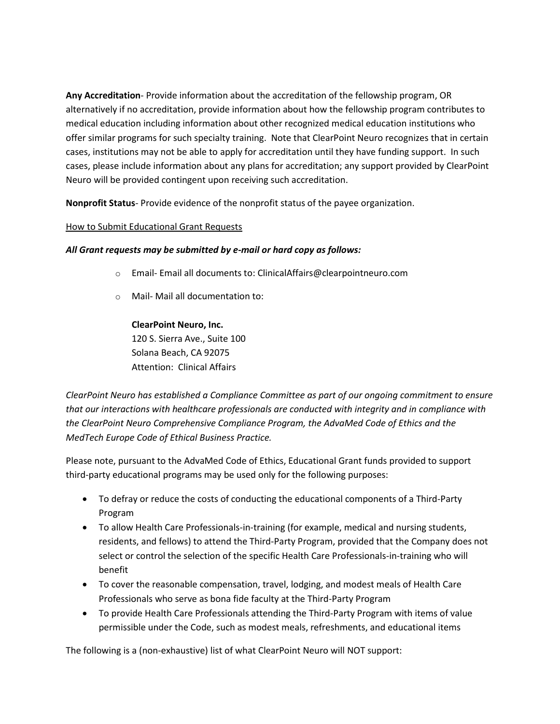**Any Accreditation**- Provide information about the accreditation of the fellowship program, OR alternatively if no accreditation, provide information about how the fellowship program contributes to medical education including information about other recognized medical education institutions who offer similar programs for such specialty training. Note that ClearPoint Neuro recognizes that in certain cases, institutions may not be able to apply for accreditation until they have funding support. In such cases, please include information about any plans for accreditation; any support provided by ClearPoint Neuro will be provided contingent upon receiving such accreditation.

**Nonprofit Status**- Provide evidence of the nonprofit status of the payee organization.

## How to Submit Educational Grant Requests

## *All Grant requests may be submitted by e-mail or hard copy as follows:*

- o Email- Email all documents to: ClinicalAffairs@clearpointneuro.com
- o Mail- Mail all documentation to:

## **ClearPoint Neuro, Inc.**

120 S. Sierra Ave., Suite 100 Solana Beach, CA 92075 Attention: Clinical Affairs

*ClearPoint Neuro has established a Compliance Committee as part of our ongoing commitment to ensure that our interactions with healthcare professionals are conducted with integrity and in compliance with the ClearPoint Neuro Comprehensive Compliance Program, the AdvaMed Code of Ethics and the MedTech Europe Code of Ethical Business Practice.*

Please note, pursuant to the AdvaMed Code of Ethics, Educational Grant funds provided to support third-party educational programs may be used only for the following purposes:

- To defray or reduce the costs of conducting the educational components of a Third-Party Program
- To allow Health Care Professionals-in-training (for example, medical and nursing students, residents, and fellows) to attend the Third-Party Program, provided that the Company does not select or control the selection of the specific Health Care Professionals-in-training who will benefit
- To cover the reasonable compensation, travel, lodging, and modest meals of Health Care Professionals who serve as bona fide faculty at the Third-Party Program
- To provide Health Care Professionals attending the Third-Party Program with items of value permissible under the Code, such as modest meals, refreshments, and educational items

The following is a (non-exhaustive) list of what ClearPoint Neuro will NOT support: